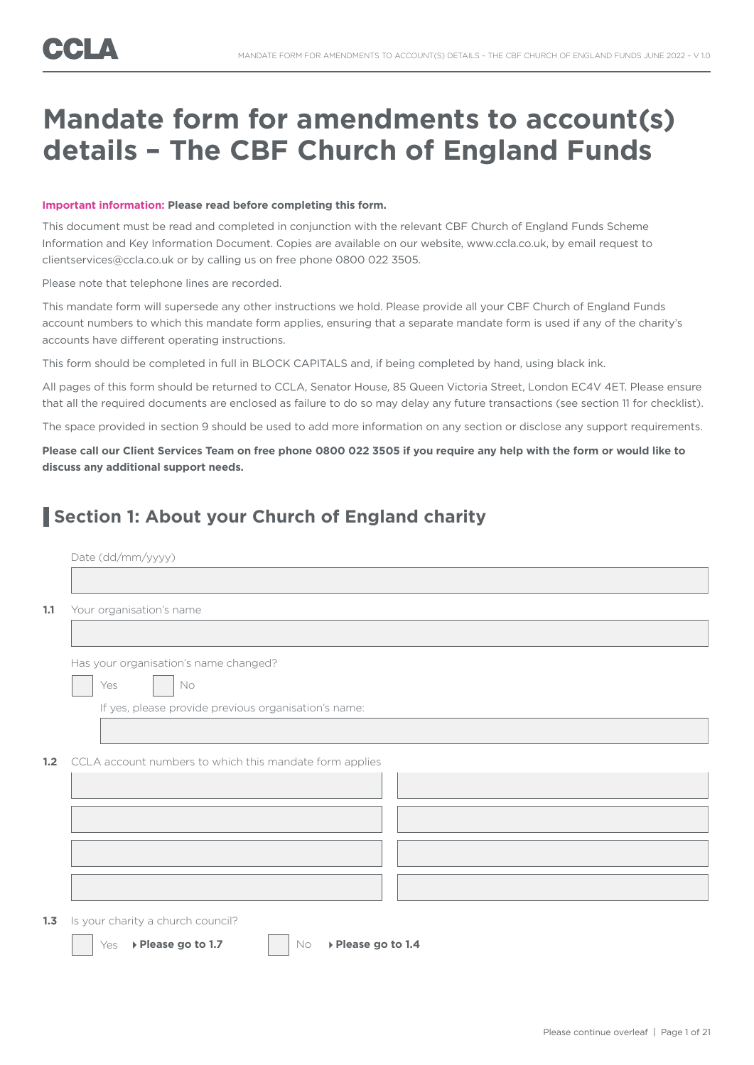# **Mandate form for amendments to account(s) details – The CBF Church of England Funds**

#### **Important information: Please read before completing this form.**

This document must be read and completed in conjunction with the relevant CBF Church of England Funds Scheme Information and Key Information Document. Copies are available on our website, www.ccla.co.uk, by email request to clientservices@ccla.co.uk or by calling us on free phone 0800 022 3505.

Please note that telephone lines are recorded.

This mandate form will supersede any other instructions we hold. Please provide all your CBF Church of England Funds account numbers to which this mandate form applies, ensuring that a separate mandate form is used if any of the charity's accounts have different operating instructions.

This form should be completed in full in BLOCK CAPITALS and, if being completed by hand, using black ink.

All pages of this form should be returned to CCLA, Senator House, 85 Queen Victoria Street, London EC4V 4ET. Please ensure that all the required documents are enclosed as failure to do so may delay any future transactions (see section 11 for checklist).

The space provided in section 9 should be used to add more information on any section or disclose any support requirements.

**Please call our Client Services Team on free phone 0800 022 3505 if you require any help with the form or would like to discuss any additional support needs.**

### **Section 1: About your Church of England charity**

|     | Date (dd/mm/yyyy)                                       |
|-----|---------------------------------------------------------|
|     |                                                         |
| 1.1 | Your organisation's name                                |
|     |                                                         |
|     | Has your organisation's name changed?                   |
|     | Yes<br>No                                               |
|     | If yes, please provide previous organisation's name:    |
|     |                                                         |
| 1.2 | CCLA account numbers to which this mandate form applies |
|     |                                                         |
|     |                                                         |
|     |                                                         |
|     |                                                         |
|     |                                                         |
|     | 1.3 Is your charity a church council?                   |

Yes **Please go to 1.7** No **Please go to 1.4**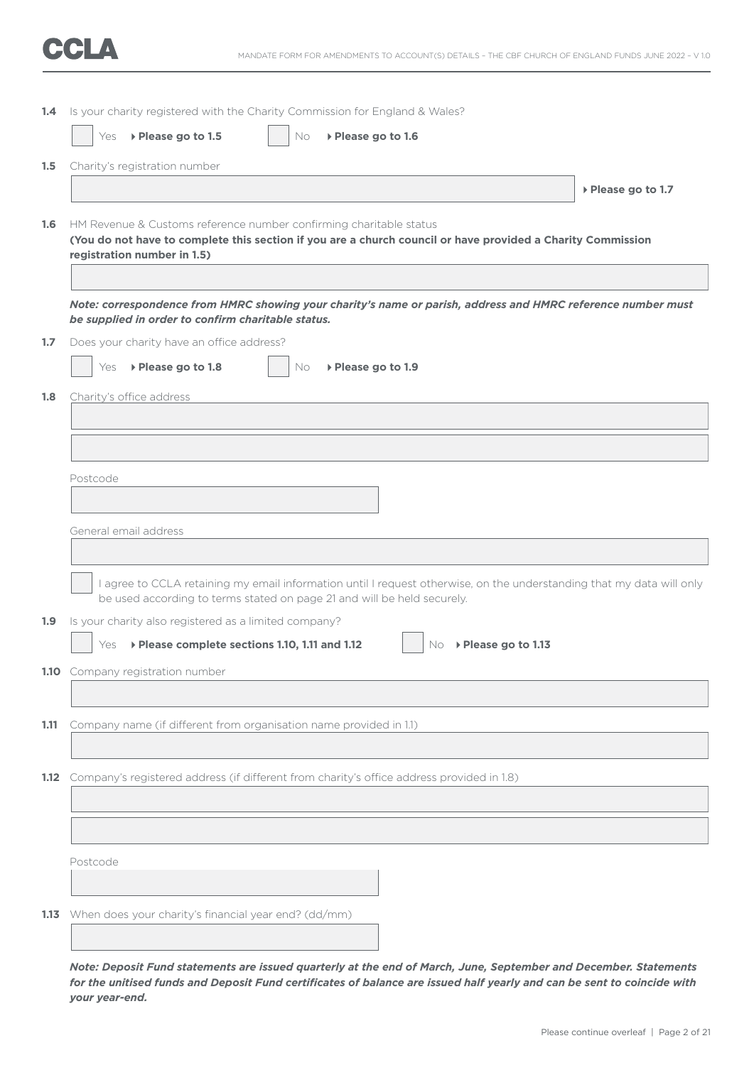|                  | 1.4 Is your charity registered with the Charity Commission for England & Wales?                                                                                                                                  |
|------------------|------------------------------------------------------------------------------------------------------------------------------------------------------------------------------------------------------------------|
|                  | ▶ Please go to 1.5<br>Yes<br>▶ Please go to 1.6<br>No                                                                                                                                                            |
| 1.5              | Charity's registration number                                                                                                                                                                                    |
|                  | ▶ Please go to 1.7                                                                                                                                                                                               |
| 1.6 <sub>1</sub> | HM Revenue & Customs reference number confirming charitable status<br>(You do not have to complete this section if you are a church council or have provided a Charity Commission<br>registration number in 1.5) |
|                  | Note: correspondence from HMRC showing your charity's name or parish, address and HMRC reference number must<br>be supplied in order to confirm charitable status.                                               |
| 1.7              | Does your charity have an office address?                                                                                                                                                                        |
|                  | ▶ Please go to 1.8<br>Yes<br>▶ Please go to 1.9<br>No.                                                                                                                                                           |
| 1.8              | Charity's office address                                                                                                                                                                                         |
|                  |                                                                                                                                                                                                                  |
|                  |                                                                                                                                                                                                                  |
|                  | Postcode                                                                                                                                                                                                         |
|                  |                                                                                                                                                                                                                  |
|                  | General email address                                                                                                                                                                                            |
|                  |                                                                                                                                                                                                                  |
|                  | I agree to CCLA retaining my email information until I request otherwise, on the understanding that my data will only<br>be used according to terms stated on page 21 and will be held securely.                 |
| 1.9 <sub>2</sub> | Is your charity also registered as a limited company?                                                                                                                                                            |
|                  | ▶ Please complete sections 1.10, 1.11 and 1.12<br>▶ Please go to 1.13<br>Yes<br>No.                                                                                                                              |
|                  | 1.10 Company registration number                                                                                                                                                                                 |
|                  |                                                                                                                                                                                                                  |
| 1.11             | Company name (if different from organisation name provided in 1.1)                                                                                                                                               |
|                  |                                                                                                                                                                                                                  |
| 1.12             | Company's registered address (if different from charity's office address provided in 1.8)                                                                                                                        |
|                  |                                                                                                                                                                                                                  |
|                  |                                                                                                                                                                                                                  |
|                  | Postcode                                                                                                                                                                                                         |
|                  |                                                                                                                                                                                                                  |
|                  | 1.13 When does your charity's financial year end? (dd/mm)                                                                                                                                                        |
|                  |                                                                                                                                                                                                                  |
|                  |                                                                                                                                                                                                                  |

*Note: Deposit Fund statements are issued quarterly at the end of March, June, September and December. Statements for the unitised funds and Deposit Fund certificates of balance are issued half yearly and can be sent to coincide with your year-end.*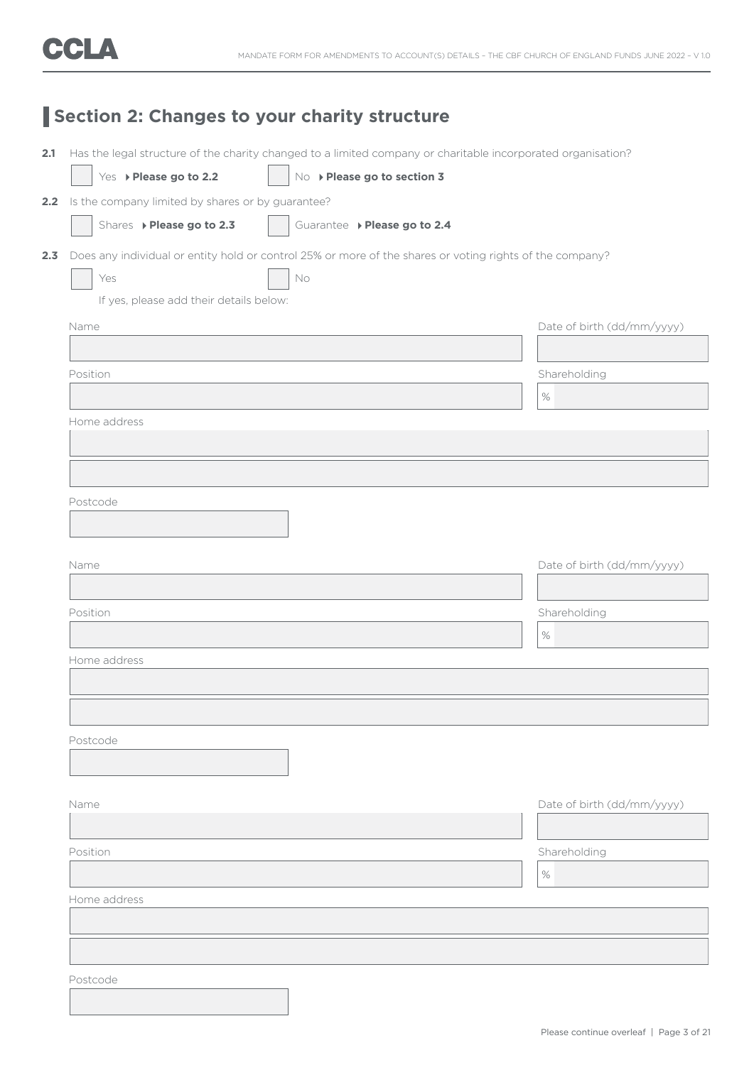## **Section 2: Changes to your charity structure**

|                                                       | Has the legal structure of the charity changed to a limited company or charitable incorporated organisation? |                            |
|-------------------------------------------------------|--------------------------------------------------------------------------------------------------------------|----------------------------|
| Yes > Please go to 2.2                                | No > Please go to section 3                                                                                  |                            |
| 2.2 Is the company limited by shares or by guarantee? |                                                                                                              |                            |
| Shares > Please go to 2.3                             | Guarantee > Please go to 2.4                                                                                 |                            |
|                                                       | Does any individual or entity hold or control 25% or more of the shares or voting rights of the company?     |                            |
| Yes                                                   | No                                                                                                           |                            |
| If yes, please add their details below:               |                                                                                                              |                            |
| Name                                                  |                                                                                                              | Date of birth (dd/mm/yyyy) |
|                                                       |                                                                                                              |                            |
| Position                                              |                                                                                                              | Shareholding               |
|                                                       |                                                                                                              | $\%$                       |
| Home address                                          |                                                                                                              |                            |
|                                                       |                                                                                                              |                            |
|                                                       |                                                                                                              |                            |
|                                                       |                                                                                                              |                            |
| Postcode                                              |                                                                                                              |                            |
|                                                       |                                                                                                              |                            |
|                                                       |                                                                                                              |                            |
| Name                                                  |                                                                                                              | Date of birth (dd/mm/yyyy) |
|                                                       |                                                                                                              |                            |
| Position                                              |                                                                                                              | Shareholding               |
|                                                       |                                                                                                              | $\%$                       |
| Home address                                          |                                                                                                              |                            |
|                                                       |                                                                                                              |                            |
|                                                       |                                                                                                              |                            |
|                                                       |                                                                                                              |                            |
| Postcode                                              |                                                                                                              |                            |
|                                                       |                                                                                                              |                            |
|                                                       |                                                                                                              |                            |
| Name                                                  |                                                                                                              | Date of birth (dd/mm/yyyy) |
|                                                       |                                                                                                              |                            |
| Position                                              |                                                                                                              | Shareholding               |
|                                                       |                                                                                                              | $\%$                       |
| Home address                                          |                                                                                                              |                            |
|                                                       |                                                                                                              |                            |
|                                                       |                                                                                                              |                            |
|                                                       |                                                                                                              |                            |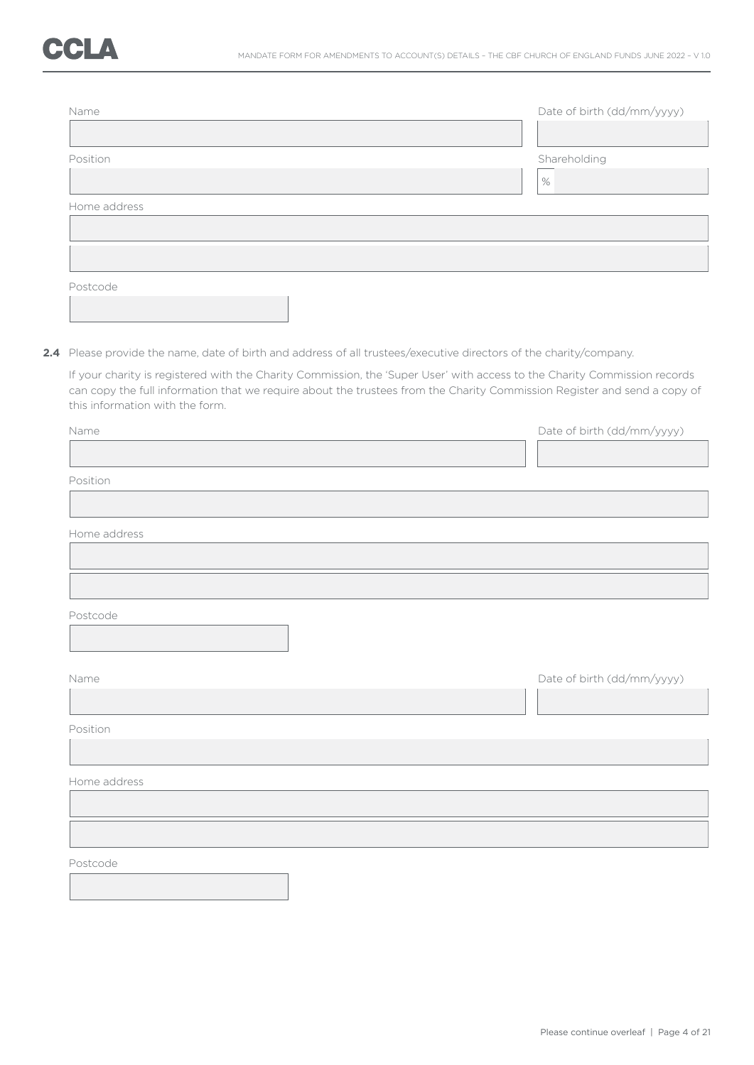| Name         | Date of birth (dd/mm/yyyy) |
|--------------|----------------------------|
|              |                            |
| Position     | Shareholding               |
|              | $\%$                       |
| Home address |                            |
|              |                            |
|              |                            |
| Postcode     |                            |

**2.4** Please provide the name, date of birth and address of all trustees/executive directors of the charity/company.

 If your charity is registered with the Charity Commission, the 'Super User' with access to the Charity Commission records can copy the full information that we require about the trustees from the Charity Commission Register and send a copy of this information with the form.

| Name         | Date of birth (dd/mm/yyyy) |
|--------------|----------------------------|
|              |                            |
| Position     |                            |
|              |                            |
| Home address |                            |
|              |                            |
|              |                            |
| Postcode     |                            |
|              |                            |
| Name         | Date of birth (dd/mm/yyyy) |
|              |                            |
| Position     |                            |
|              |                            |
| Home address |                            |
|              |                            |
|              |                            |
| Postcode     |                            |
|              |                            |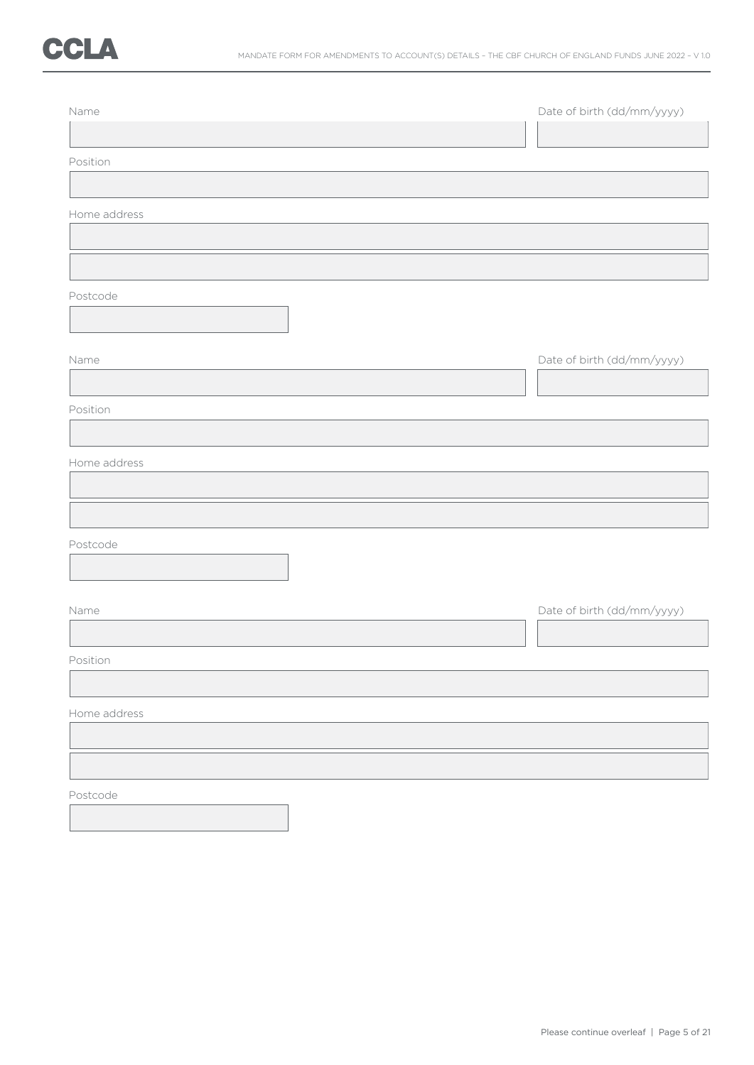

| Name         | Date of birth (dd/mm/yyyy) |
|--------------|----------------------------|
| Position     |                            |
| Home address |                            |
|              |                            |
| Postcode     |                            |
|              |                            |
| Name         | Date of birth (dd/mm/yyyy) |
| Position     |                            |
| Home address |                            |
|              |                            |
| Postcode     |                            |
| Name         | Date of birth (dd/mm/yyyy) |
| Position     |                            |
| Home address |                            |
|              |                            |
| Postcode     |                            |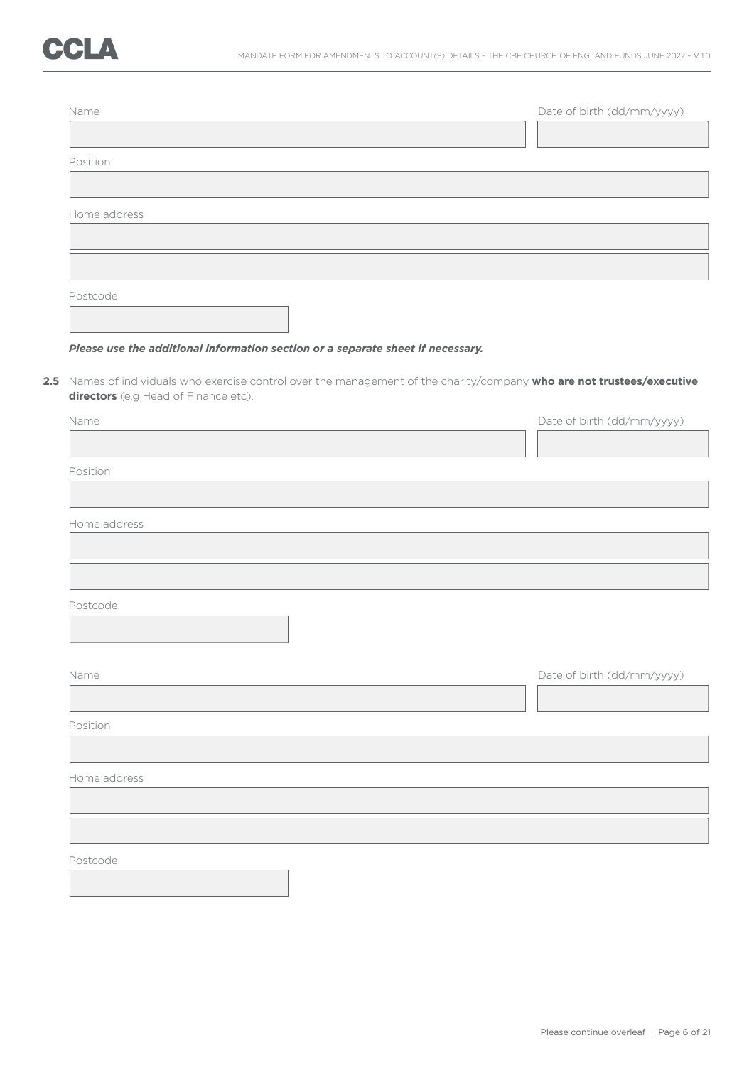| Name         | Date of birth (dd/mm/yyyy) |
|--------------|----------------------------|
| Position     |                            |
| Home address |                            |
|              |                            |
| Postcode     |                            |

#### *Please use the additional information section or a separate sheet if necessary.*

**2.5** Names of individuals who exercise control over the management of the charity/company **who are not trustees/executive directors** (e.g Head of Finance etc).

| Position     |                            |
|--------------|----------------------------|
|              |                            |
| Home address |                            |
|              |                            |
|              |                            |
|              |                            |
| Postcode     |                            |
|              |                            |
|              |                            |
| Name         | Date of birth (dd/mm/yyyy) |
|              |                            |
|              |                            |
| Position     |                            |
|              |                            |
| Home address |                            |
|              |                            |
|              |                            |
|              |                            |
| Postcode     |                            |
|              |                            |
|              |                            |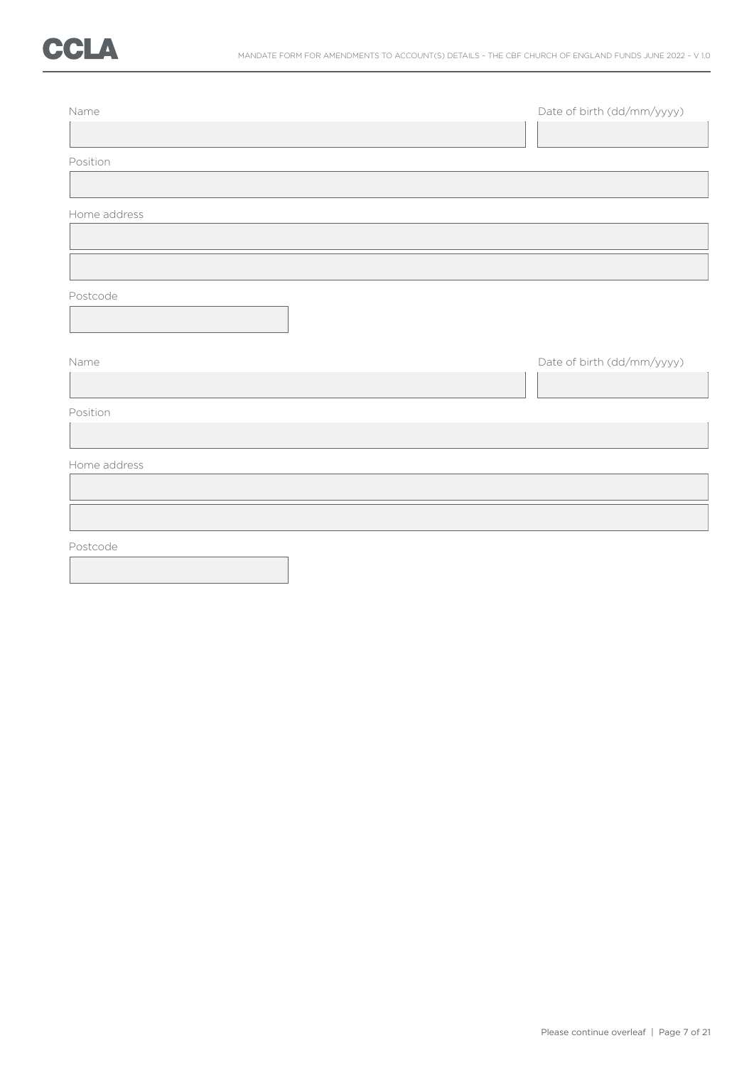

| Name         | Date of birth (dd/mm/yyyy) |
|--------------|----------------------------|
| Position     |                            |
|              |                            |
| Home address |                            |
|              |                            |
| Postcode     |                            |
| Name         | Date of birth (dd/mm/yyyy) |
| Position     |                            |
| Home address |                            |
|              |                            |
| Postcode     |                            |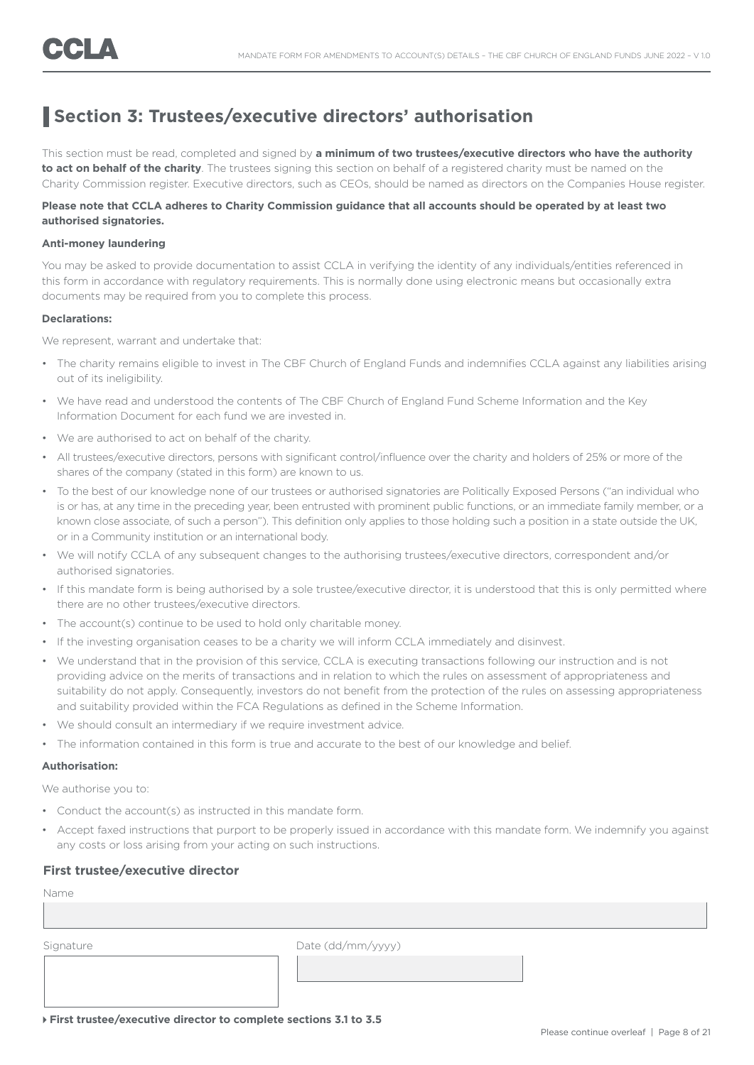### **Section 3: Trustees/executive directors' authorisation**

This section must be read, completed and signed by **a minimum of two trustees/executive directors who have the authority to act on behalf of the charity**. The trustees signing this section on behalf of a registered charity must be named on the Charity Commission register. Executive directors, such as CEOs, should be named as directors on the Companies House register.

#### **Please note that CCLA adheres to Charity Commission guidance that all accounts should be operated by at least two authorised signatories.**

#### **Anti-money laundering**

You may be asked to provide documentation to assist CCLA in verifying the identity of any individuals/entities referenced in this form in accordance with regulatory requirements. This is normally done using electronic means but occasionally extra documents may be required from you to complete this process.

#### **Declarations:**

We represent, warrant and undertake that:

- The charity remains eligible to invest in The CBF Church of England Funds and indemnifies CCLA against any liabilities arising out of its ineligibility.
- We have read and understood the contents of The CBF Church of England Fund Scheme Information and the Key Information Document for each fund we are invested in.
- We are authorised to act on behalf of the charity.
- All trustees/executive directors, persons with significant control/influence over the charity and holders of 25% or more of the shares of the company (stated in this form) are known to us.
- To the best of our knowledge none of our trustees or authorised signatories are Politically Exposed Persons ("an individual who is or has, at any time in the preceding year, been entrusted with prominent public functions, or an immediate family member, or a known close associate, of such a person"). This definition only applies to those holding such a position in a state outside the UK, or in a Community institution or an international body.
- We will notify CCLA of any subsequent changes to the authorising trustees/executive directors, correspondent and/or authorised signatories.
- If this mandate form is being authorised by a sole trustee/executive director, it is understood that this is only permitted where there are no other trustees/executive directors.
- The account(s) continue to be used to hold only charitable money.
- If the investing organisation ceases to be a charity we will inform CCLA immediately and disinvest.
- We understand that in the provision of this service, CCLA is executing transactions following our instruction and is not providing advice on the merits of transactions and in relation to which the rules on assessment of appropriateness and suitability do not apply. Consequently, investors do not benefit from the protection of the rules on assessing appropriateness and suitability provided within the FCA Regulations as defined in the Scheme Information.
- We should consult an intermediary if we require investment advice.
- The information contained in this form is true and accurate to the best of our knowledge and belief.

#### **Authorisation:**

We authorise you to:

- Conduct the account(s) as instructed in this mandate form.
- Accept faxed instructions that purport to be properly issued in accordance with this mandate form. We indemnify you against any costs or loss arising from your acting on such instructions.

#### **First trustee/executive director**

Name Signature Date (dd/mm/yyyy)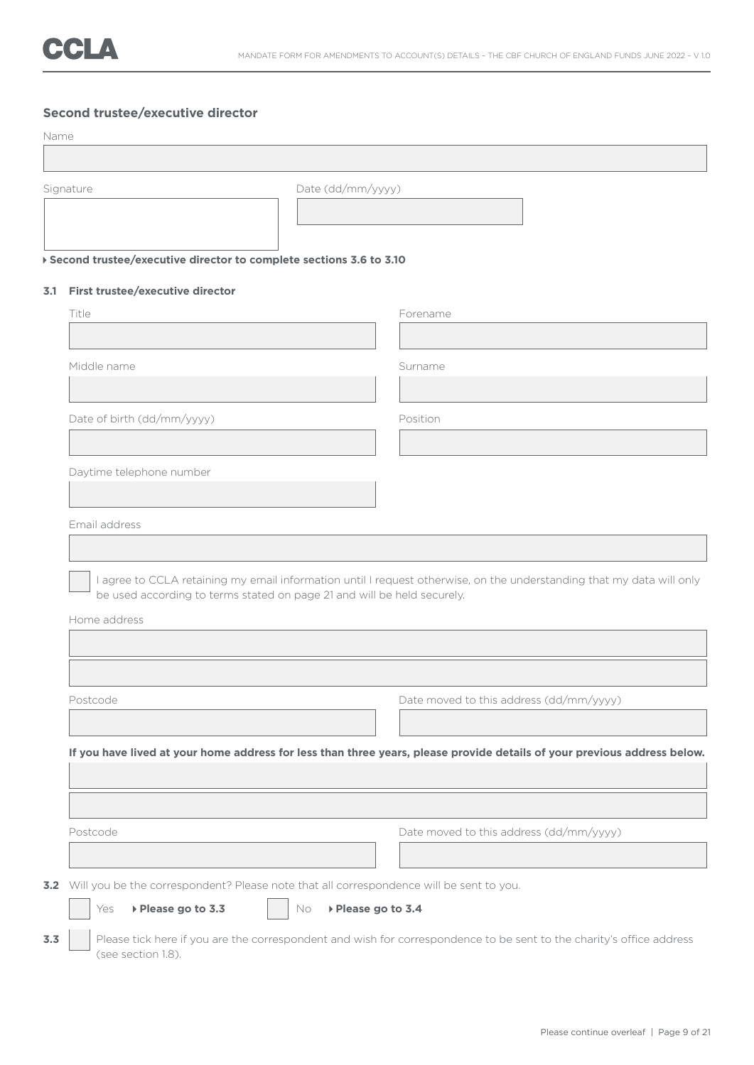|      | Second trustee/executive director                                                                                     |                                         |  |  |  |
|------|-----------------------------------------------------------------------------------------------------------------------|-----------------------------------------|--|--|--|
| Name |                                                                                                                       |                                         |  |  |  |
|      |                                                                                                                       |                                         |  |  |  |
|      | Signature                                                                                                             | Date (dd/mm/yyyy)                       |  |  |  |
|      |                                                                                                                       |                                         |  |  |  |
|      |                                                                                                                       |                                         |  |  |  |
|      | ▶ Second trustee/executive director to complete sections 3.6 to 3.10                                                  |                                         |  |  |  |
|      | 3.1 First trustee/executive director                                                                                  |                                         |  |  |  |
|      | Title                                                                                                                 | Forename                                |  |  |  |
|      |                                                                                                                       |                                         |  |  |  |
|      | Middle name                                                                                                           | Surname                                 |  |  |  |
|      |                                                                                                                       |                                         |  |  |  |
|      | Date of birth (dd/mm/yyyy)                                                                                            | Position                                |  |  |  |
|      |                                                                                                                       |                                         |  |  |  |
|      | Daytime telephone number                                                                                              |                                         |  |  |  |
|      |                                                                                                                       |                                         |  |  |  |
|      | Email address                                                                                                         |                                         |  |  |  |
|      |                                                                                                                       |                                         |  |  |  |
|      | I agree to CCLA retaining my email information until I request otherwise, on the understanding that my data will only |                                         |  |  |  |
|      | be used according to terms stated on page 21 and will be held securely.                                               |                                         |  |  |  |
|      | Home address                                                                                                          |                                         |  |  |  |
|      |                                                                                                                       |                                         |  |  |  |
|      |                                                                                                                       |                                         |  |  |  |
|      | Postcode                                                                                                              | Date moved to this address (dd/mm/yyyy) |  |  |  |
|      |                                                                                                                       |                                         |  |  |  |

Postcode Date moved to this address (dd/mm/yyyy)

**3.2** Will you be the correspondent? Please note that all correspondence will be sent to you.

Yes **Please go to 3.3** No **Please go to 3.4** 

**3.3** Please tick here if you are the correspondent and wish for correspondence to be sent to the charity's office address (see section 1.8).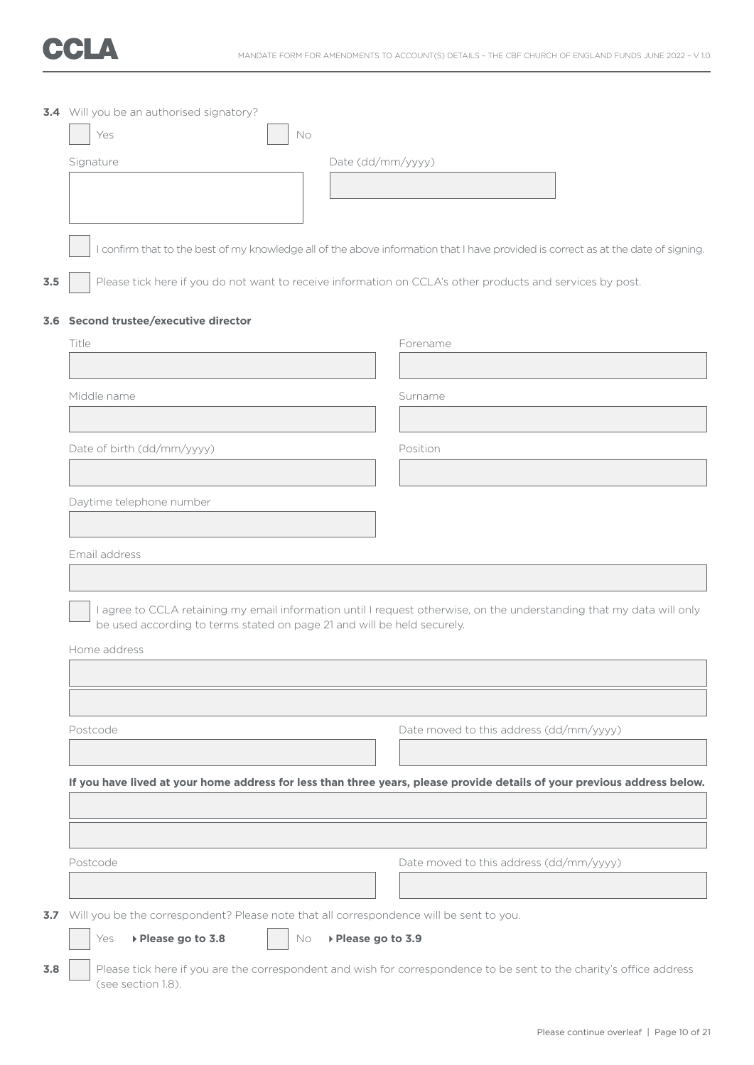

|     | 3.4 Will you be an authorised signatory?                                                                  |                                                                                                                                    |
|-----|-----------------------------------------------------------------------------------------------------------|------------------------------------------------------------------------------------------------------------------------------------|
|     | Yes<br>No                                                                                                 |                                                                                                                                    |
|     | Date (dd/mm/yyyy)<br>Signature                                                                            |                                                                                                                                    |
|     |                                                                                                           |                                                                                                                                    |
|     |                                                                                                           |                                                                                                                                    |
|     |                                                                                                           | I confirm that to the best of my knowledge all of the above information that I have provided is correct as at the date of signing. |
|     |                                                                                                           |                                                                                                                                    |
| 3.5 | Please tick here if you do not want to receive information on CCLA's other products and services by post. |                                                                                                                                    |
|     | 3.6 Second trustee/executive director                                                                     |                                                                                                                                    |
|     | Title                                                                                                     | Forename                                                                                                                           |
|     |                                                                                                           |                                                                                                                                    |
|     | Middle name                                                                                               | Surname                                                                                                                            |
|     |                                                                                                           |                                                                                                                                    |
|     | Date of birth (dd/mm/yyyy)                                                                                | Position                                                                                                                           |
|     |                                                                                                           |                                                                                                                                    |
|     |                                                                                                           |                                                                                                                                    |
|     | Daytime telephone number                                                                                  |                                                                                                                                    |
|     |                                                                                                           |                                                                                                                                    |
|     | Email address                                                                                             |                                                                                                                                    |
|     |                                                                                                           |                                                                                                                                    |
|     | be used according to terms stated on page 21 and will be held securely.                                   | I agree to CCLA retaining my email information until I request otherwise, on the understanding that my data will only              |
|     | Home address                                                                                              |                                                                                                                                    |
|     |                                                                                                           |                                                                                                                                    |
|     |                                                                                                           |                                                                                                                                    |
|     |                                                                                                           |                                                                                                                                    |
|     | Postcode                                                                                                  | Date moved to this address (dd/mm/yyyy)                                                                                            |
|     |                                                                                                           |                                                                                                                                    |
|     |                                                                                                           | If you have lived at your home address for less than three years, please provide details of your previous address below.           |
|     |                                                                                                           |                                                                                                                                    |
|     |                                                                                                           |                                                                                                                                    |
|     | Postcode                                                                                                  | Date moved to this address (dd/mm/yyyy)                                                                                            |
|     |                                                                                                           |                                                                                                                                    |
| 3.7 | Will you be the correspondent? Please note that all correspondence will be sent to you.                   |                                                                                                                                    |
|     | ▶ Please go to 3.9<br>▶ Please go to 3.8<br>Yes<br>No.                                                    |                                                                                                                                    |
| 3.8 |                                                                                                           | Please tick here if you are the correspondent and wish for correspondence to be sent to the charity's office address               |
|     | (see section 1.8).                                                                                        |                                                                                                                                    |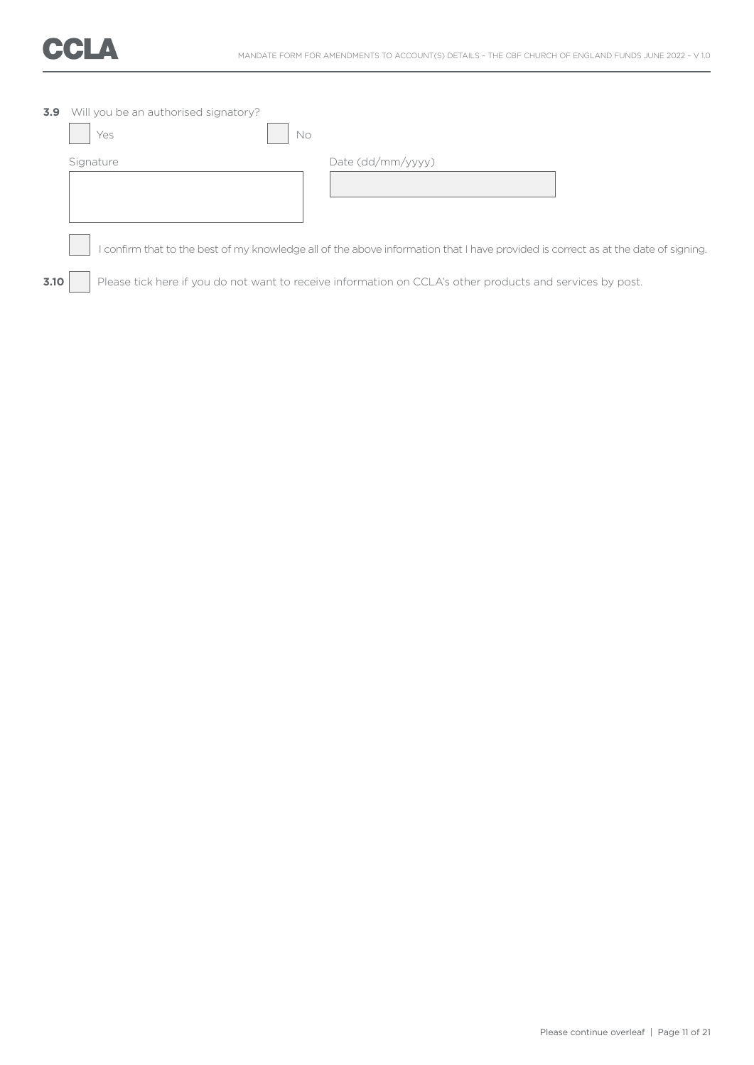

| 3.9  | Will you be an authorised signatory?<br>No.<br>Yes |                                                                                                                                  |
|------|----------------------------------------------------|----------------------------------------------------------------------------------------------------------------------------------|
|      | Signature                                          | Date (dd/mm/yyyy)                                                                                                                |
|      |                                                    | confirm that to the best of my knowledge all of the above information that I have provided is correct as at the date of signing. |
| 3.10 |                                                    | Please tick here if you do not want to receive information on CCLA's other products and services by post.                        |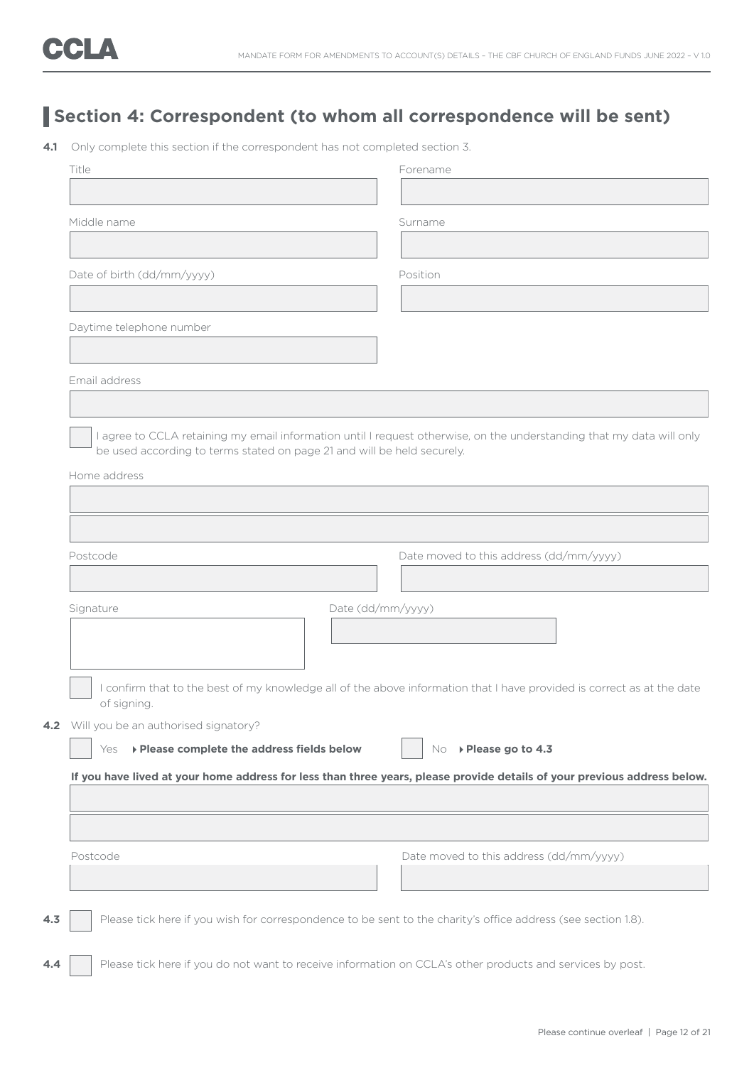## **Section 4: Correspondent (to whom all correspondence will be sent)**

**4.1** Only complete this section if the correspondent has not completed section 3.

| Title                                                                                                         | Forename                                                                                                                 |
|---------------------------------------------------------------------------------------------------------------|--------------------------------------------------------------------------------------------------------------------------|
|                                                                                                               |                                                                                                                          |
| Middle name                                                                                                   | Surname                                                                                                                  |
|                                                                                                               |                                                                                                                          |
| Date of birth (dd/mm/yyyy)                                                                                    | Position                                                                                                                 |
|                                                                                                               |                                                                                                                          |
| Daytime telephone number                                                                                      |                                                                                                                          |
|                                                                                                               |                                                                                                                          |
| Email address                                                                                                 |                                                                                                                          |
|                                                                                                               |                                                                                                                          |
|                                                                                                               | I agree to CCLA retaining my email information until I request otherwise, on the understanding that my data will only    |
| be used according to terms stated on page 21 and will be held securely.                                       |                                                                                                                          |
| Home address                                                                                                  |                                                                                                                          |
|                                                                                                               |                                                                                                                          |
|                                                                                                               |                                                                                                                          |
| Postcode                                                                                                      | Date moved to this address (dd/mm/yyyy)                                                                                  |
|                                                                                                               |                                                                                                                          |
| Signature                                                                                                     | Date (dd/mm/yyyy)                                                                                                        |
|                                                                                                               |                                                                                                                          |
|                                                                                                               |                                                                                                                          |
|                                                                                                               |                                                                                                                          |
| of signing.                                                                                                   | I confirm that to the best of my knowledge all of the above information that I have provided is correct as at the date   |
| Will you be an authorised signatory?                                                                          |                                                                                                                          |
| ▶ Please complete the address fields below<br>Yes                                                             | ▶ Please go to 4.3<br>No.                                                                                                |
|                                                                                                               | If you have lived at your home address for less than three years, please provide details of your previous address below. |
|                                                                                                               |                                                                                                                          |
|                                                                                                               |                                                                                                                          |
| Postcode                                                                                                      | Date moved to this address (dd/mm/yyyy)                                                                                  |
|                                                                                                               |                                                                                                                          |
|                                                                                                               |                                                                                                                          |
| Please tick here if you wish for correspondence to be sent to the charity's office address (see section 1.8). |                                                                                                                          |
|                                                                                                               |                                                                                                                          |
|                                                                                                               |                                                                                                                          |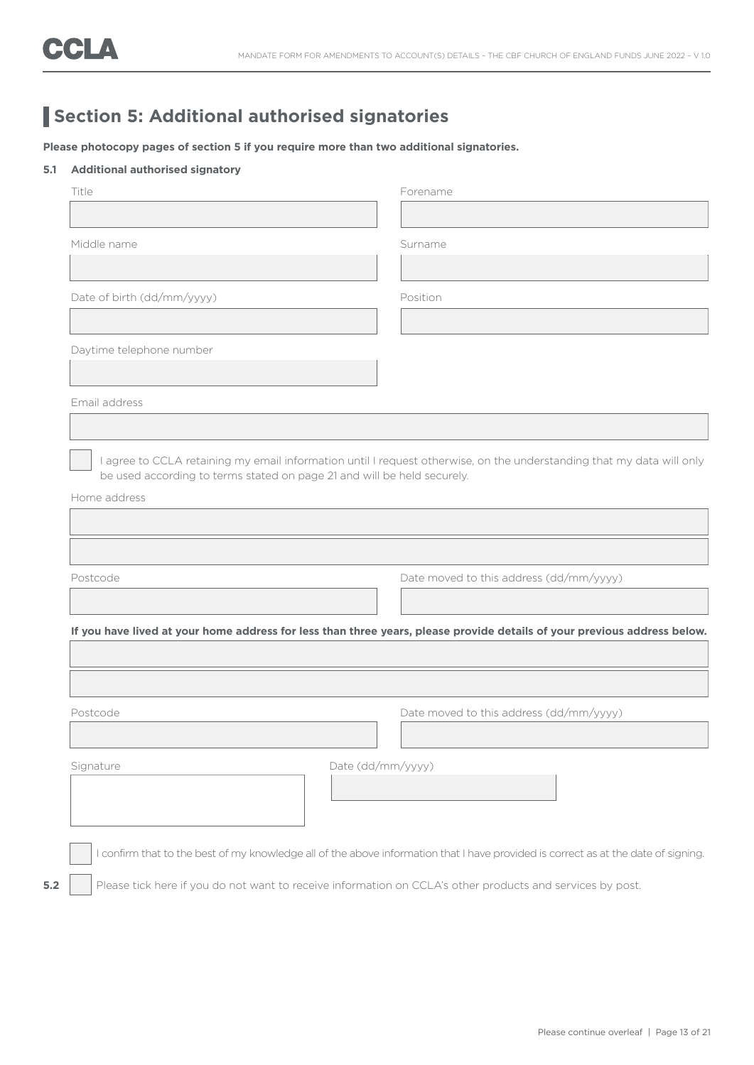## **Section 5: Additional authorised signatories**

**Please photocopy pages of section 5 if you require more than two additional signatories.**

#### **5.1 Additional authorised signatory**

|                            | Forename                                                                                                                                      |
|----------------------------|-----------------------------------------------------------------------------------------------------------------------------------------------|
|                            |                                                                                                                                               |
| Middle name                | Surname                                                                                                                                       |
|                            |                                                                                                                                               |
| Date of birth (dd/mm/yyyy) | Position                                                                                                                                      |
|                            |                                                                                                                                               |
| Daytime telephone number   |                                                                                                                                               |
|                            |                                                                                                                                               |
| Email address              |                                                                                                                                               |
|                            |                                                                                                                                               |
| Home address               |                                                                                                                                               |
|                            |                                                                                                                                               |
| Postcode                   | Date moved to this address (dd/mm/yyyy)                                                                                                       |
|                            |                                                                                                                                               |
|                            |                                                                                                                                               |
|                            |                                                                                                                                               |
|                            |                                                                                                                                               |
|                            | Date moved to this address (dd/mm/yyyy)                                                                                                       |
|                            |                                                                                                                                               |
| Postcode<br>Signature      | If you have lived at your home address for less than three years, please provide details of your previous address below.<br>Date (dd/mm/yyyy) |
|                            | I confirm that to the best of my knowledge all of the above information that I have provided is correct as at the date of signing.            |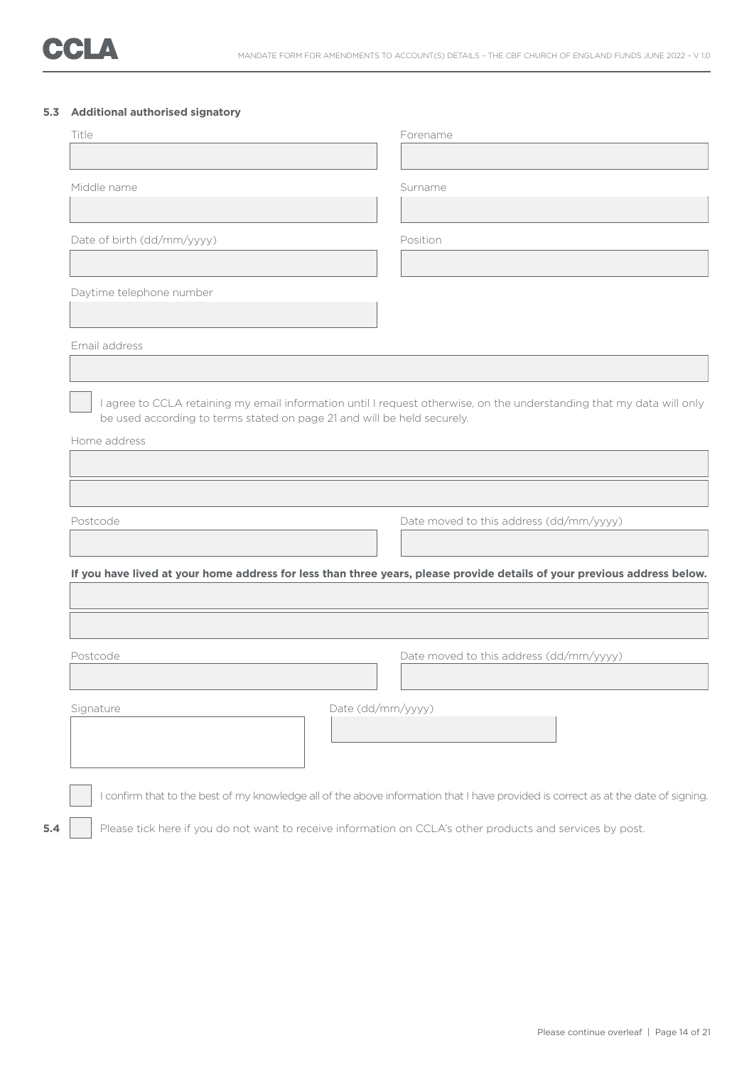#### **5.3 Additional authorised signatory**

|                            |                                                                         | Forename                                                                                                                           |
|----------------------------|-------------------------------------------------------------------------|------------------------------------------------------------------------------------------------------------------------------------|
| Middle name                |                                                                         | Surname                                                                                                                            |
|                            |                                                                         |                                                                                                                                    |
| Date of birth (dd/mm/yyyy) |                                                                         | Position                                                                                                                           |
|                            |                                                                         |                                                                                                                                    |
| Daytime telephone number   |                                                                         |                                                                                                                                    |
| Email address              |                                                                         |                                                                                                                                    |
|                            |                                                                         |                                                                                                                                    |
| Home address               | be used according to terms stated on page 21 and will be held securely. | I agree to CCLA retaining my email information until I request otherwise, on the understanding that my data will only              |
|                            |                                                                         |                                                                                                                                    |
|                            |                                                                         |                                                                                                                                    |
|                            |                                                                         |                                                                                                                                    |
| Postcode                   |                                                                         | Date moved to this address (dd/mm/yyyy)                                                                                            |
|                            |                                                                         |                                                                                                                                    |
|                            |                                                                         | If you have lived at your home address for less than three years, please provide details of your previous address below.           |
|                            |                                                                         |                                                                                                                                    |
| Postcode                   |                                                                         | Date moved to this address (dd/mm/yyyy)                                                                                            |
|                            |                                                                         |                                                                                                                                    |
| Signature                  | Date (dd/mm/yyyy)                                                       |                                                                                                                                    |
|                            |                                                                         |                                                                                                                                    |
|                            |                                                                         | I confirm that to the best of my knowledge all of the above information that I have provided is correct as at the date of signing. |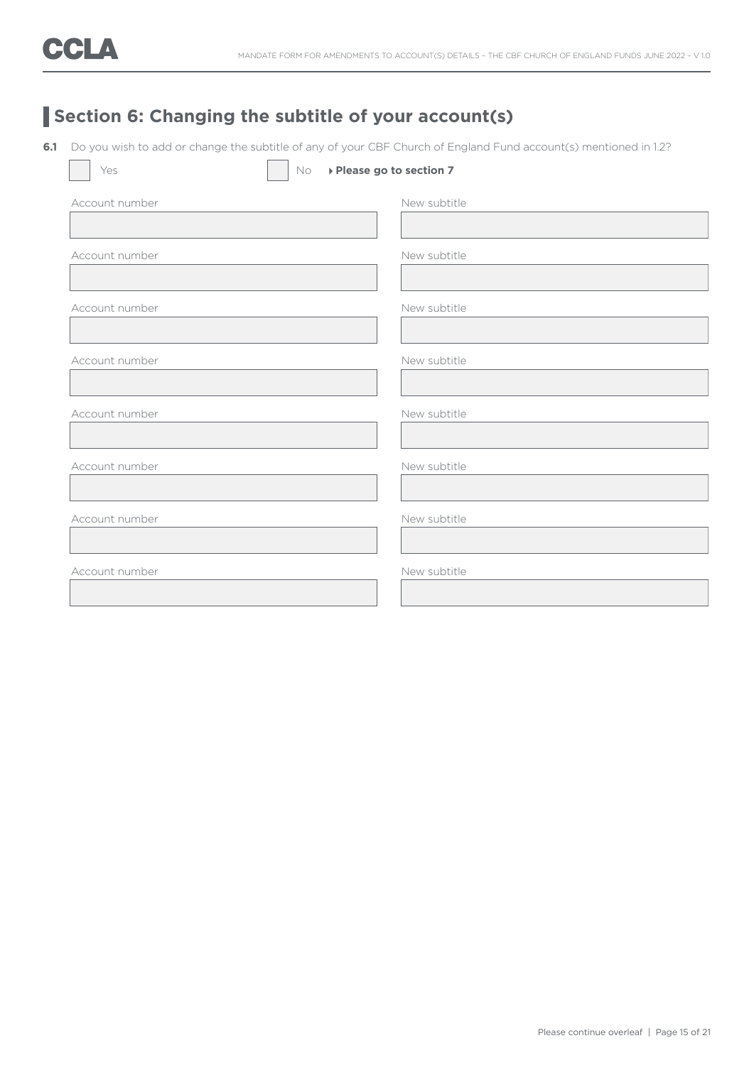## **Section 6: Changing the subtitle of your account(s)**

**6.1** Do you wish to add or change the subtitle of any of your CBF Church of England Fund account(s) mentioned in 1.2?

| Yes            | No | ▶ Please go to section 7 |
|----------------|----|--------------------------|
| Account number |    | New subtitle             |
|                |    |                          |
| Account number |    | New subtitle             |
|                |    |                          |
| Account number |    | New subtitle             |
|                |    |                          |
| Account number |    | New subtitle             |
|                |    |                          |
| Account number |    | New subtitle             |
|                |    |                          |
| Account number |    | New subtitle             |
|                |    |                          |
| Account number |    | New subtitle             |
|                |    |                          |
| Account number |    | New subtitle             |
|                |    |                          |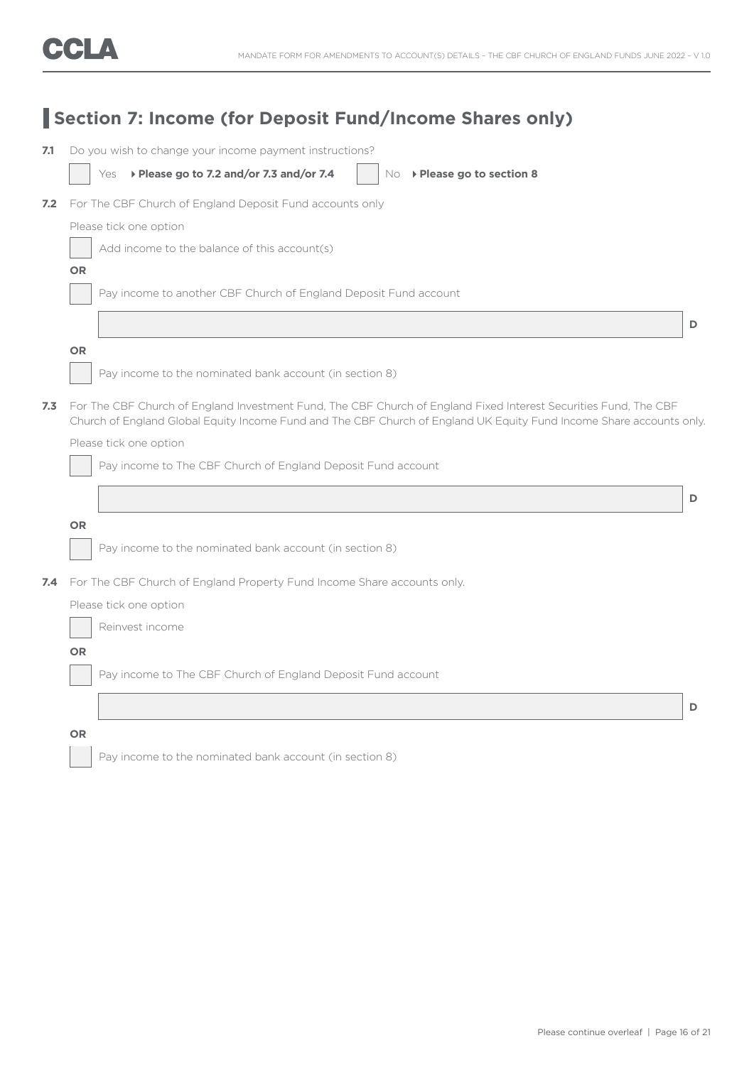| 7.1 | Do you wish to change your income payment instructions?                                                                                                                                                                                  |   |
|-----|------------------------------------------------------------------------------------------------------------------------------------------------------------------------------------------------------------------------------------------|---|
|     | Yes > Please go to 7.2 and/or 7.3 and/or 7.4<br>$No \rightarrow$ Please go to section 8                                                                                                                                                  |   |
| 7.2 | For The CBF Church of England Deposit Fund accounts only                                                                                                                                                                                 |   |
|     | Please tick one option                                                                                                                                                                                                                   |   |
|     | Add income to the balance of this account(s)                                                                                                                                                                                             |   |
|     | <b>OR</b>                                                                                                                                                                                                                                |   |
|     | Pay income to another CBF Church of England Deposit Fund account                                                                                                                                                                         |   |
|     |                                                                                                                                                                                                                                          | D |
|     | <b>OR</b>                                                                                                                                                                                                                                |   |
|     | Pay income to the nominated bank account (in section 8)                                                                                                                                                                                  |   |
| 7.3 | For The CBF Church of England Investment Fund, The CBF Church of England Fixed Interest Securities Fund, The CBF<br>Church of England Global Equity Income Fund and The CBF Church of England UK Equity Fund Income Share accounts only. |   |
|     | Please tick one option                                                                                                                                                                                                                   |   |
|     | Pay income to The CBF Church of England Deposit Fund account                                                                                                                                                                             |   |
|     |                                                                                                                                                                                                                                          | D |
|     | <b>OR</b>                                                                                                                                                                                                                                |   |
|     | Pay income to the nominated bank account (in section 8)                                                                                                                                                                                  |   |
| 7.4 | For The CBF Church of England Property Fund Income Share accounts only.                                                                                                                                                                  |   |
|     | Please tick one option                                                                                                                                                                                                                   |   |
|     | Reinvest income                                                                                                                                                                                                                          |   |
|     | <b>OR</b>                                                                                                                                                                                                                                |   |
|     | Pay income to The CBF Church of England Deposit Fund account                                                                                                                                                                             |   |
|     |                                                                                                                                                                                                                                          | D |
|     |                                                                                                                                                                                                                                          |   |
|     | <b>OR</b>                                                                                                                                                                                                                                |   |
|     | Pay income to the nominated bank account (in section 8)                                                                                                                                                                                  |   |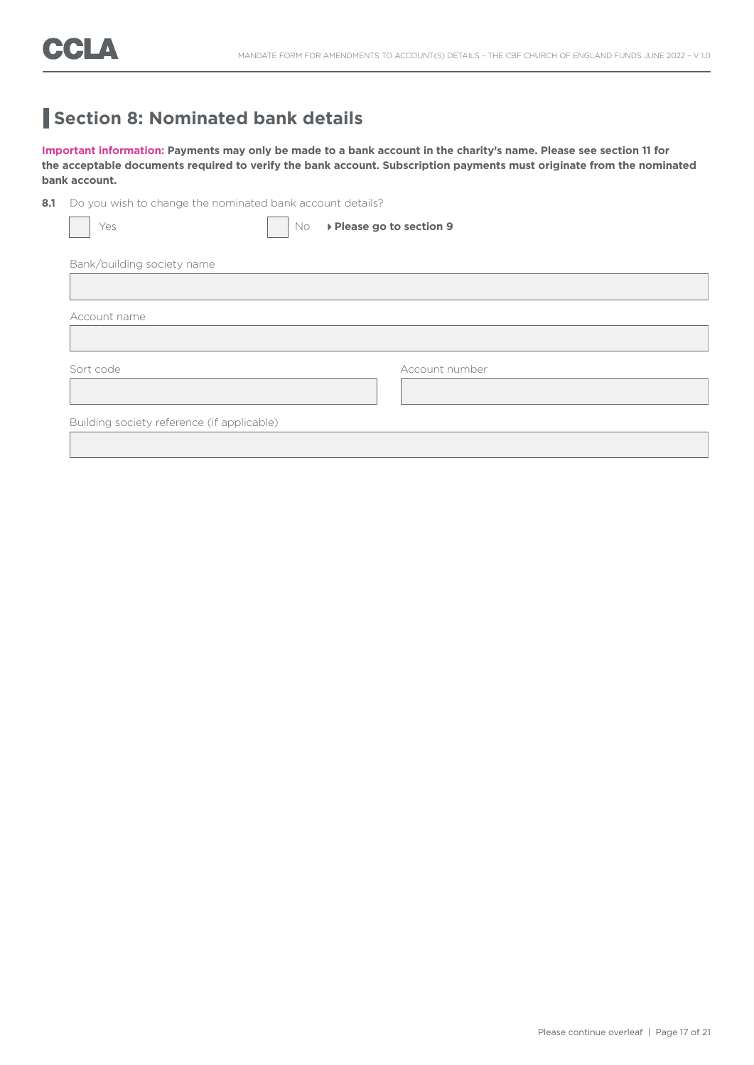### **Section 8: Nominated bank details**

**Important information: Payments may only be made to a bank account in the charity's name. Please see section 11 for the acceptable documents required to verify the bank account. Subscription payments must originate from the nominated bank account.**

8.1 Do you wish to change the nominated bank account details?

| Yes                                        | No. | ▶ Please go to section 9 |
|--------------------------------------------|-----|--------------------------|
| Bank/building society name                 |     |                          |
|                                            |     |                          |
| Account name                               |     |                          |
|                                            |     |                          |
| Sort code                                  |     | Account number           |
|                                            |     |                          |
| Building society reference (if applicable) |     |                          |
|                                            |     |                          |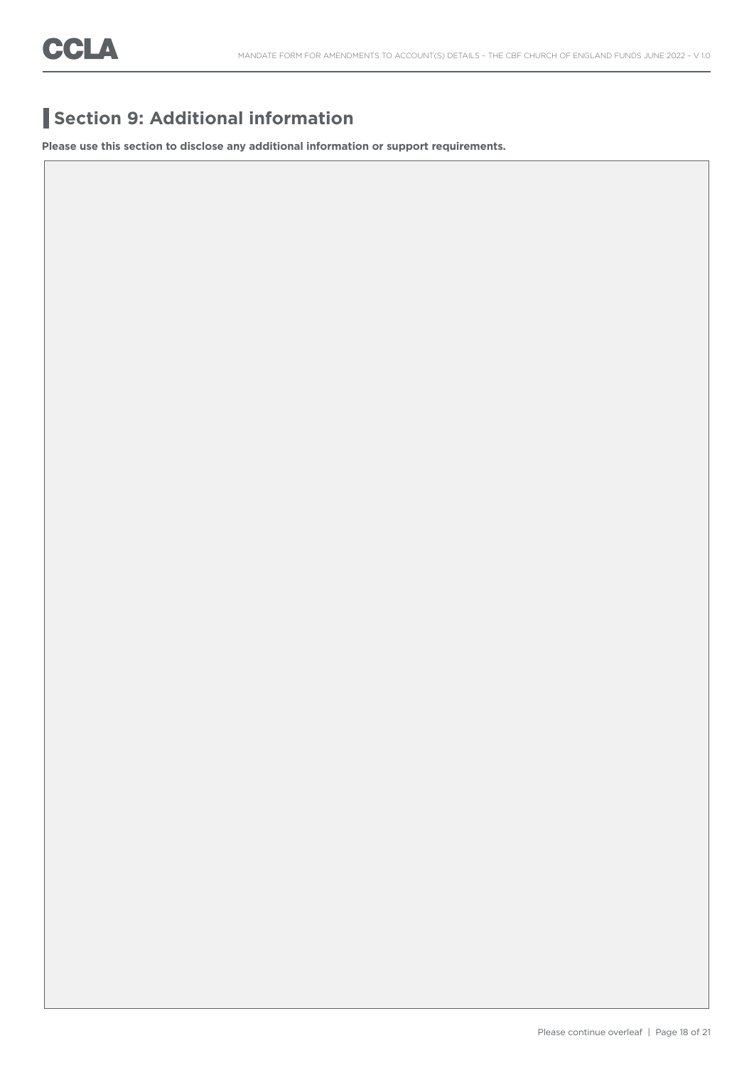## **Section 9: Additional information**

**Please use this section to disclose any additional information or support requirements.**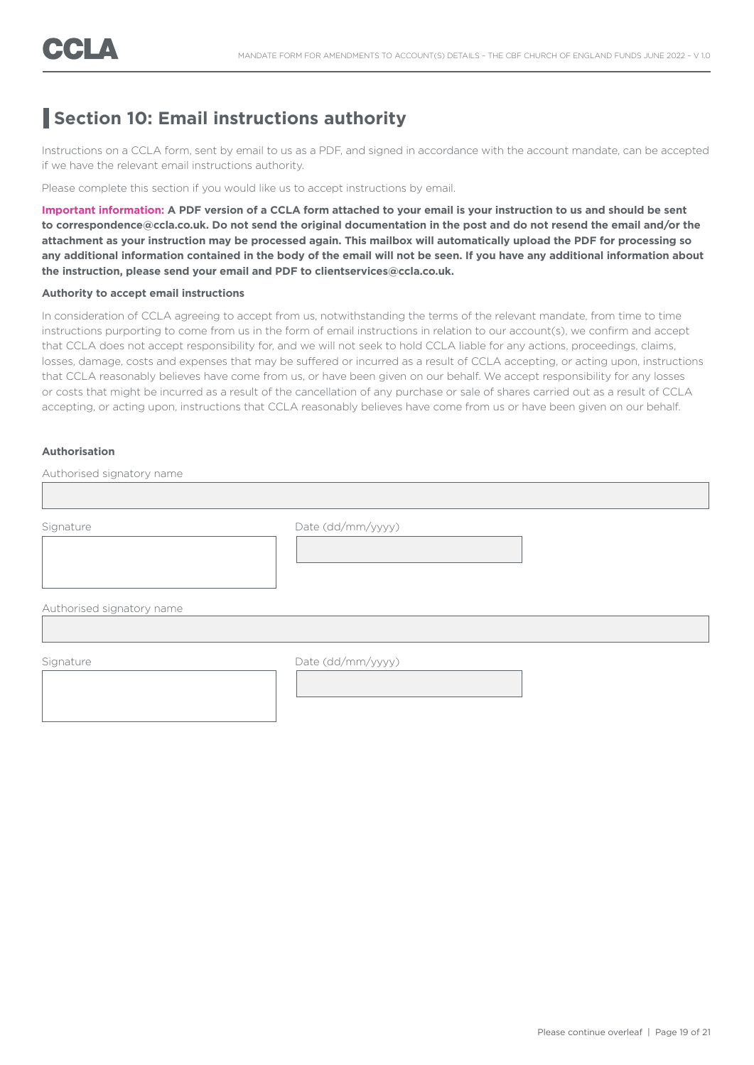### **Section 10: Email instructions authority**

Instructions on a CCLA form, sent by email to us as a PDF, and signed in accordance with the account mandate, can be accepted if we have the relevant email instructions authority.

Please complete this section if you would like us to accept instructions by email.

**Important information: A PDF version of a CCLA form attached to your email is your instruction to us and should be sent to correspondence@ccla.co.uk. Do not send the original documentation in the post and do not resend the email and/or the attachment as your instruction may be processed again. This mailbox will automatically upload the PDF for processing so any additional information contained in the body of the email will not be seen. If you have any additional information about the instruction, please send your email and PDF to clientservices@ccla.co.uk.**

#### **Authority to accept email instructions**

In consideration of CCLA agreeing to accept from us, notwithstanding the terms of the relevant mandate, from time to time instructions purporting to come from us in the form of email instructions in relation to our account(s), we confirm and accept that CCLA does not accept responsibility for, and we will not seek to hold CCLA liable for any actions, proceedings, claims, losses, damage, costs and expenses that may be suffered or incurred as a result of CCLA accepting, or acting upon, instructions that CCLA reasonably believes have come from us, or have been given on our behalf. We accept responsibility for any losses or costs that might be incurred as a result of the cancellation of any purchase or sale of shares carried out as a result of CCLA accepting, or acting upon, instructions that CCLA reasonably believes have come from us or have been given on our behalf.

#### **Authorisation**

Authorised signatory name

Signature Date (dd/mm/yyyy)

Authorised signatory name

Signature Date (dd/mm/yyyy)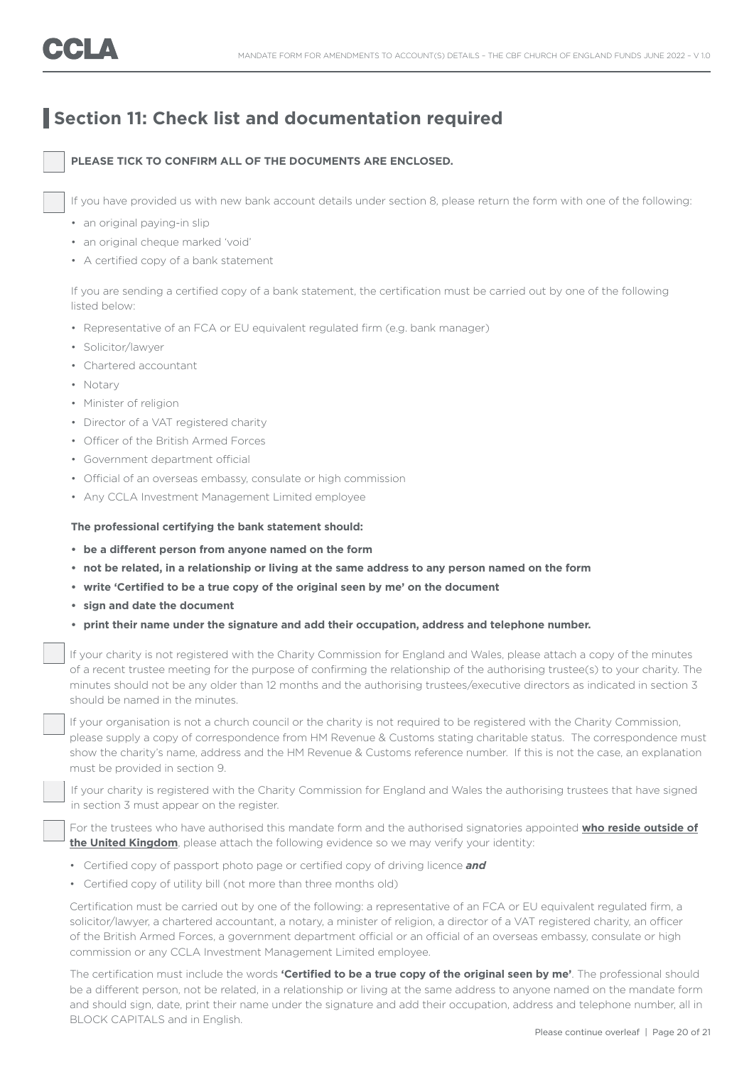### **Section 11: Check list and documentation required**

#### **PLEASE TICK TO CONFIRM ALL OF THE DOCUMENTS ARE ENCLOSED.**

If you have provided us with new bank account details under section 8, please return the form with one of the following:

- an original paying-in slip
- an original cheque marked 'void'
- A certified copy of a bank statement

 If you are sending a certified copy of a bank statement, the certification must be carried out by one of the following listed below:

- Representative of an FCA or EU equivalent regulated firm (e.g. bank manager)
- Solicitor/lawyer
- Chartered accountant
- Notary
- Minister of religion
- Director of a VAT registered charity
- Officer of the British Armed Forces
- Government department official
- Official of an overseas embassy, consulate or high commission
- Any CCLA Investment Management Limited employee

#### **The professional certifying the bank statement should:**

- **• be a different person from anyone named on the form**
- **• not be related, in a relationship or living at the same address to any person named on the form**
- **• write 'Certified to be a true copy of the original seen by me' on the document**
- **• sign and date the document**
- **• print their name under the signature and add their occupation, address and telephone number.**

 If your charity is not registered with the Charity Commission for England and Wales, please attach a copy of the minutes of a recent trustee meeting for the purpose of confirming the relationship of the authorising trustee(s) to your charity. The minutes should not be any older than 12 months and the authorising trustees/executive directors as indicated in section 3 should be named in the minutes.

If your organisation is not a church council or the charity is not required to be registered with the Charity Commission, please supply a copy of correspondence from HM Revenue & Customs stating charitable status. The correspondence must show the charity's name, address and the HM Revenue & Customs reference number. If this is not the case, an explanation must be provided in section 9.

 If your charity is registered with the Charity Commission for England and Wales the authorising trustees that have signed in section 3 must appear on the register.

 For the trustees who have authorised this mandate form and the authorised signatories appointed **who reside outside of the United Kingdom**, please attach the following evidence so we may verify your identity:

- Certified copy of passport photo page or certified copy of driving licence *and*
- Certified copy of utility bill (not more than three months old)

 Certification must be carried out by one of the following: a representative of an FCA or EU equivalent regulated firm, a solicitor/lawyer, a chartered accountant, a notary, a minister of religion, a director of a VAT registered charity, an officer of the British Armed Forces, a government department official or an official of an overseas embassy, consulate or high commission or any CCLA Investment Management Limited employee.

 The certification must include the words **'Certified to be a true copy of the original seen by me'**. The professional should be a different person, not be related, in a relationship or living at the same address to anyone named on the mandate form and should sign, date, print their name under the signature and add their occupation, address and telephone number, all in BLOCK CAPITALS and in English.